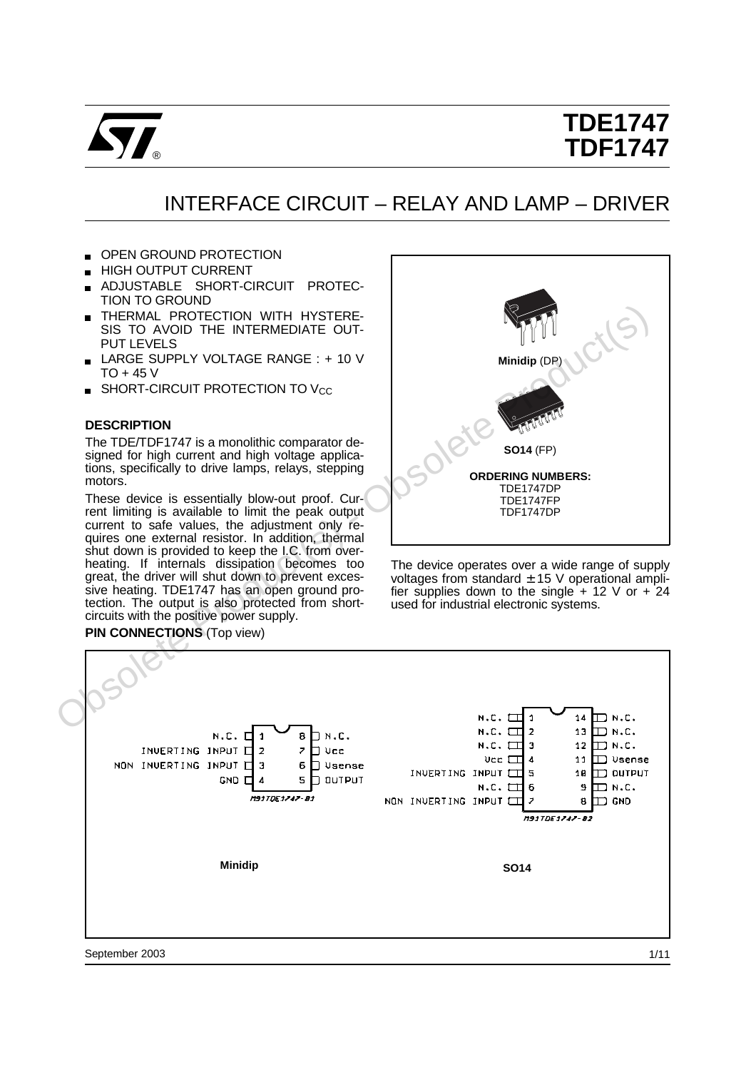

# **TDE1747 TDF1747**

# INTERFACE CIRCUIT – RELAY AND LAMP – DRIVER

- OPEN GROUND PROTECTION
- HIGH OUTPUT CURRENT
- ADJUSTABLE SHORT-CIRCUIT PROTEC-TION TO GROUND
- **THERMAL PROTECTION WITH HYSTERE-**SIS TO AVOID THE INTERMEDIATE OUT-PUT LEVELS
- LARGE SUPPLY VOLTAGE RANGE : + 10 V TO + 45 V
- $\blacksquare$  SHORT-CIRCUIT PROTECTION TO Vcc

#### **DESCRIPTION**

The TDE/TDF1747 is a monolithic comparator designed for high current and high voltage applications, specifically to drive lamps, relays, stepping motors.

These device is essentially blow-out proof. Current limiting is available to limit the peak output current to safe values, the adjustment only requires one external resistor. In addition, thermal shut down is provided to keep the I.C. from overheating. If internals dissipation becomes too great, the driver will shut down to prevent excessive heating. TDE1747 has an open ground protection. The output is also protected from shortcircuits with the positive power supply.



The device operates over a wide range of supply voltages from standard  $\pm$  15 V operational amplifier supplies down to the single  $+$  12 V or  $+$  24 used for industrial electronic systems.



September 2003

## **PIN CONNECTIONS** (Top view)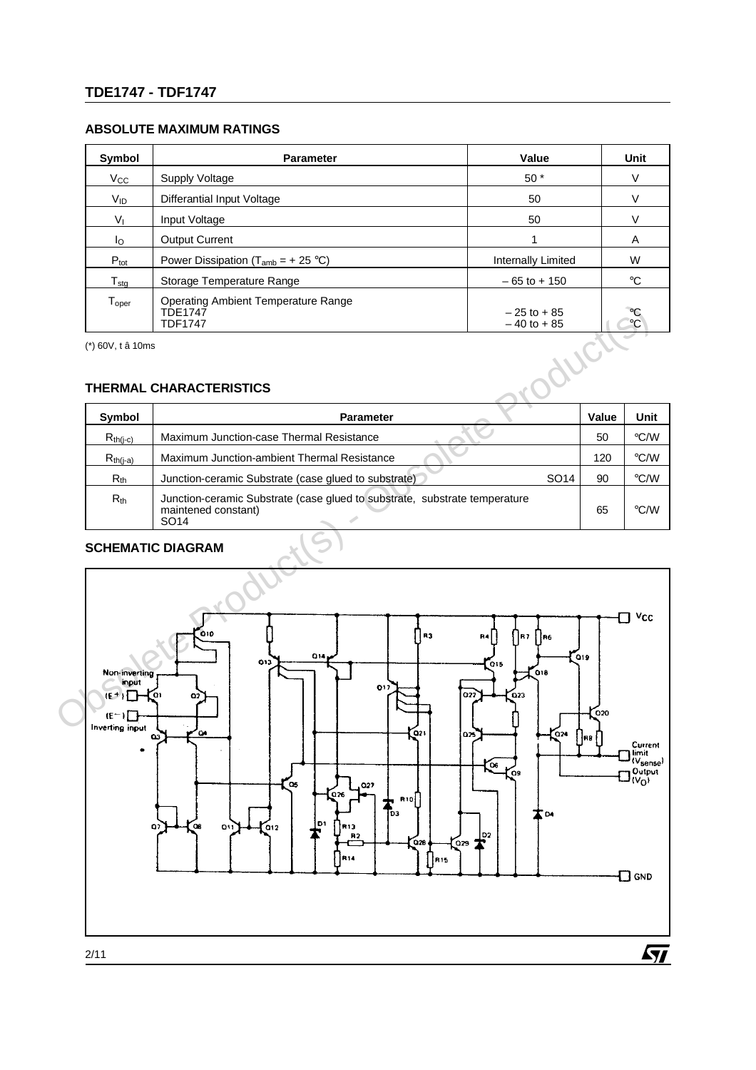### **ABSOLUTE MAXIMUM RATINGS**

| Symbol                      | <b>Parameter</b>                                                        | Value                          | <b>Unit</b>                        |  |
|-----------------------------|-------------------------------------------------------------------------|--------------------------------|------------------------------------|--|
| $V_{\rm CC}$                | $50*$<br>Supply Voltage                                                 |                                |                                    |  |
| V <sub>ID</sub>             | Differantial Input Voltage                                              | 50                             | V                                  |  |
| $V_{I}$                     | Input Voltage                                                           | 50                             | V                                  |  |
| Ιo                          | <b>Output Current</b>                                                   |                                | A                                  |  |
| $P_{\text{tot}}$            | Power Dissipation ( $T_{amb}$ = + 25 °C)                                | Internally Limited             | W                                  |  |
| $T_{\text{stg}}$            | Storage Temperature Range                                               | $-65$ to $+150$                | $\rm ^{\circ}C$                    |  |
| ${\mathsf T}_{\text{oper}}$ | Operating Ambient Temperature Range<br><b>TDE1747</b><br><b>TDF1747</b> | $-25$ to +85<br>$-40$ to $+85$ | $\rm ^{\circ}C$<br>$\rm ^{\circ}C$ |  |

(\*) 60V, t â 10ms

## **THERMAL CHARACTERISTICS**

| Symbol        | <b>Parameter</b>                                                                                                      |                  | Value | Unit |  |  |
|---------------|-----------------------------------------------------------------------------------------------------------------------|------------------|-------|------|--|--|
| $R_{th(j-c)}$ | Maximum Junction-case Thermal Resistance                                                                              |                  | 50    | °C/W |  |  |
| $R_{th(j-a)}$ | Maximum Junction-ambient Thermal Resistance                                                                           |                  | 120   | °C/W |  |  |
| $R_{th}$      | Junction-ceramic Substrate (case glued to substrate)                                                                  | SO <sub>14</sub> | 90    | °C/W |  |  |
| $R_{th}$      | Junction-ceramic Substrate (case glued to substrate, substrate temperature<br>maintened constant)<br>SO <sub>14</sub> |                  | 65    | °C/W |  |  |

## **SCHEMATIC DIAGRAM**

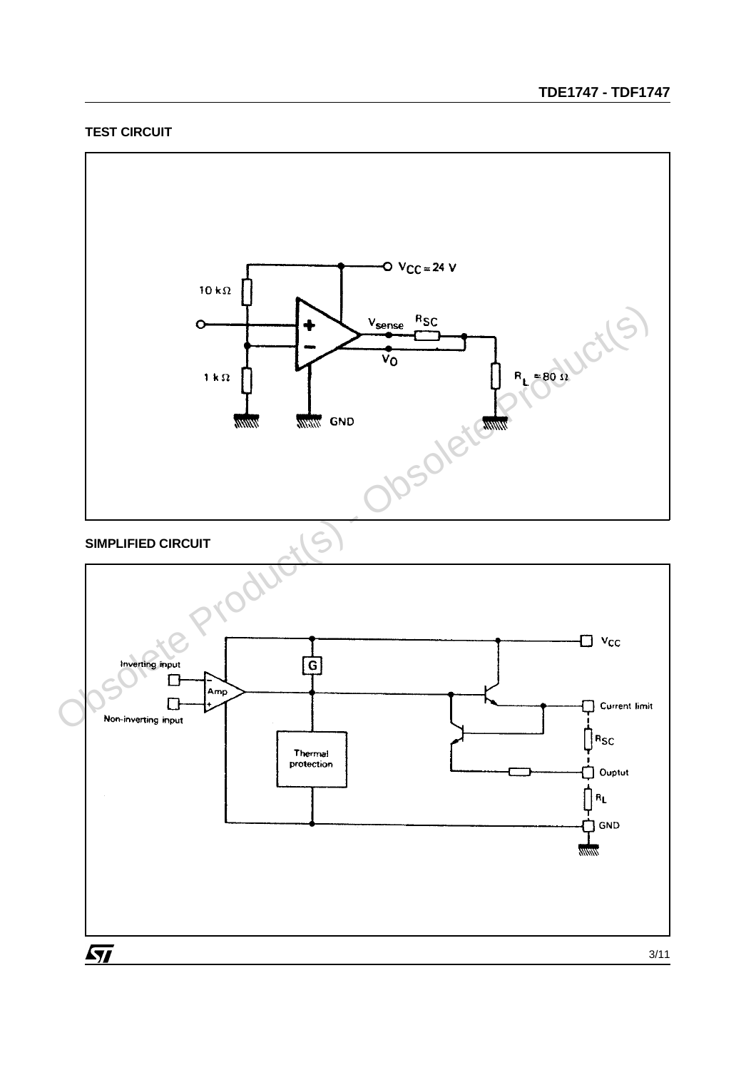### **TEST CIRCUIT**



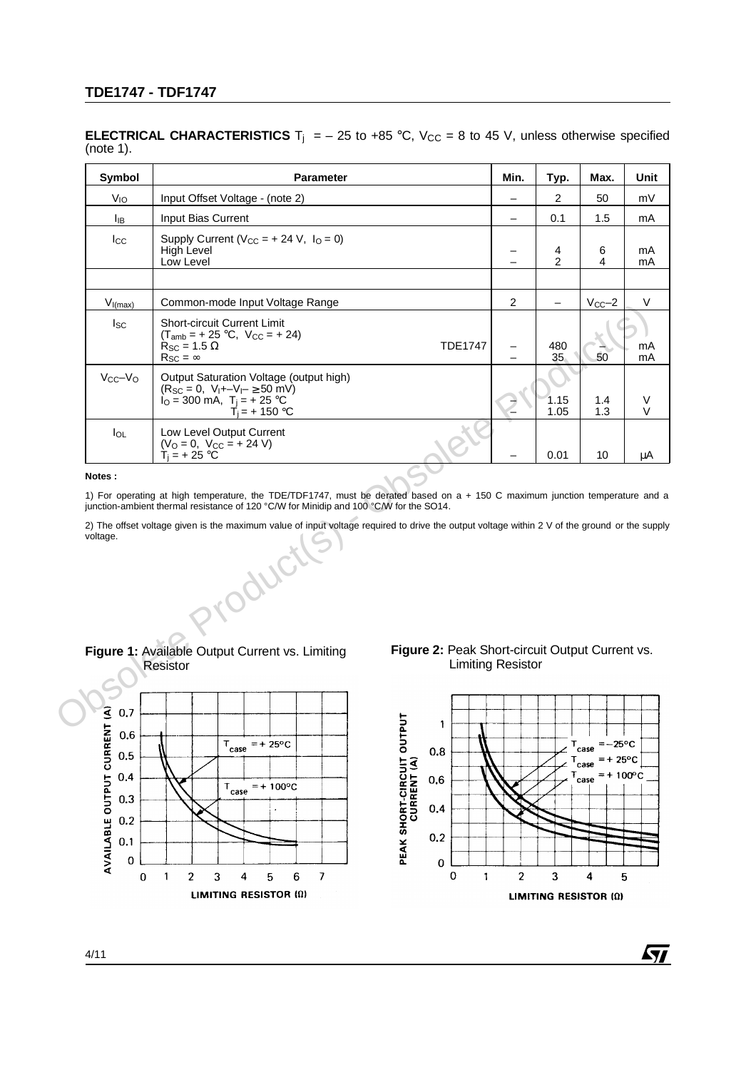#### **ELECTRICAL CHARACTERISTICS** T<sub>i</sub> = - 25 to +85 °C,  $V_{CC}$  = 8 to 45 V, unless otherwise specified (note 1).

| Symbol                                                                                                                                                                                                                                                                                                                                                                                                     | <b>Parameter</b>                                                                                                                                                                                       | Min.                     | Typ.              | Max.                             | Unit     |  |  |  |  |
|------------------------------------------------------------------------------------------------------------------------------------------------------------------------------------------------------------------------------------------------------------------------------------------------------------------------------------------------------------------------------------------------------------|--------------------------------------------------------------------------------------------------------------------------------------------------------------------------------------------------------|--------------------------|-------------------|----------------------------------|----------|--|--|--|--|
| V <sub>IO</sub>                                                                                                                                                                                                                                                                                                                                                                                            | Input Offset Voltage - (note 2)                                                                                                                                                                        | $\qquad \qquad -$        | $\overline{2}$    | 50                               | mV       |  |  |  |  |
| Iв                                                                                                                                                                                                                                                                                                                                                                                                         | Input Bias Current                                                                                                                                                                                     |                          | 0.1               | 1.5                              | mA       |  |  |  |  |
| <b>I</b> cc                                                                                                                                                                                                                                                                                                                                                                                                | Supply Current ( $V_{CC}$ = + 24 V, $I_{O}$ = 0)<br>High Level<br>Low Level                                                                                                                            |                          | 4<br>2            | 6<br>4                           | mA<br>mA |  |  |  |  |
|                                                                                                                                                                                                                                                                                                                                                                                                            |                                                                                                                                                                                                        |                          |                   |                                  |          |  |  |  |  |
| $V_{I(max)}$                                                                                                                                                                                                                                                                                                                                                                                               | Common-mode Input Voltage Range                                                                                                                                                                        | $\overline{2}$           | $\qquad \qquad -$ | $V_{CC}-2$                       | V        |  |  |  |  |
| <sub>sc</sub>                                                                                                                                                                                                                                                                                                                                                                                              | <b>Short-circuit Current Limit</b><br>$(T_{amb} = +25 °C, V_{CC} = +24)$<br>$R_{SC} = 1.5 \Omega$<br><b>TDE1747</b><br>$R_{SC} = \infty$                                                               |                          | 480<br>35         | 50                               | mA<br>mA |  |  |  |  |
| $V_{CC}-V_{O}$                                                                                                                                                                                                                                                                                                                                                                                             | Output Saturation Voltage (output high)<br>$(R_{SC} = 0, V_1 + -V_1 - \ge 50 \text{ mV})$<br>$I_O = 300$ mA, $T_i = +25$ °C<br>$T_1 = + 150 °C$                                                        |                          | 1.15<br>1.05      | 1.4<br>1.3                       | V<br>V   |  |  |  |  |
| $I_{OL}$                                                                                                                                                                                                                                                                                                                                                                                                   | Low Level Output Current<br>$(VO = 0, VCC = + 24 V)$<br>$T_1 = +25 °C$                                                                                                                                 |                          | 0.01              | 10                               | μA       |  |  |  |  |
| Notes:<br>1) For operating at high temperature, the TDE/TDF1747, must be derated based on a + 150 C maximum junction temperature and a<br>junction-ambient thermal resistance of 120 °C/W for Minidip and 100 °C/W for the SO14.<br>2) The offset voltage given is the maximum value of input voltage required to drive the output voltage within 2 V of the ground or the supply<br>voltage.<br>if Oduct! |                                                                                                                                                                                                        |                          |                   |                                  |          |  |  |  |  |
| 0.7<br>CURRENT (A)<br>0,6                                                                                                                                                                                                                                                                                                                                                                                  | Figure 2: Peak Short-circuit Output Current vs.<br>Figure 1: Available Output Current vs. Limiting<br><b>Resistor</b><br><b>JIT OUTPUT</b><br>(A)<br>1<br>$= +25^{\circ}C$<br>$T_{\text{case}}$<br>0.8 | <b>Limiting Resistor</b> |                   | $T_{\text{case}} = -25^{\circ}C$ |          |  |  |  |  |

#### **Notes :**

**Figure 1:** Available Output Current vs. Limiting Resistor







 $\sqrt{M}$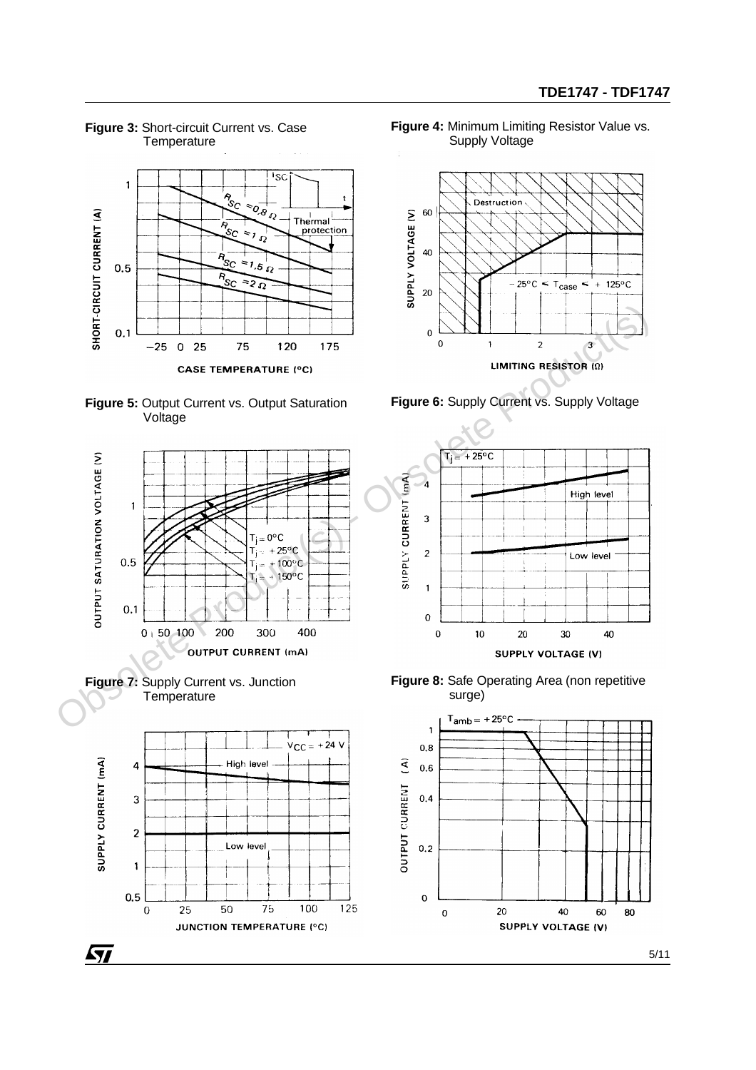

**Figure 3:** Short-circuit Current vs. Case **Temperature** 

**Figure 4:** Minimum Limiting Resistor Value vs. Supply Voltage

÷



**Figure 6:** Supply Current vs. Supply Voltage













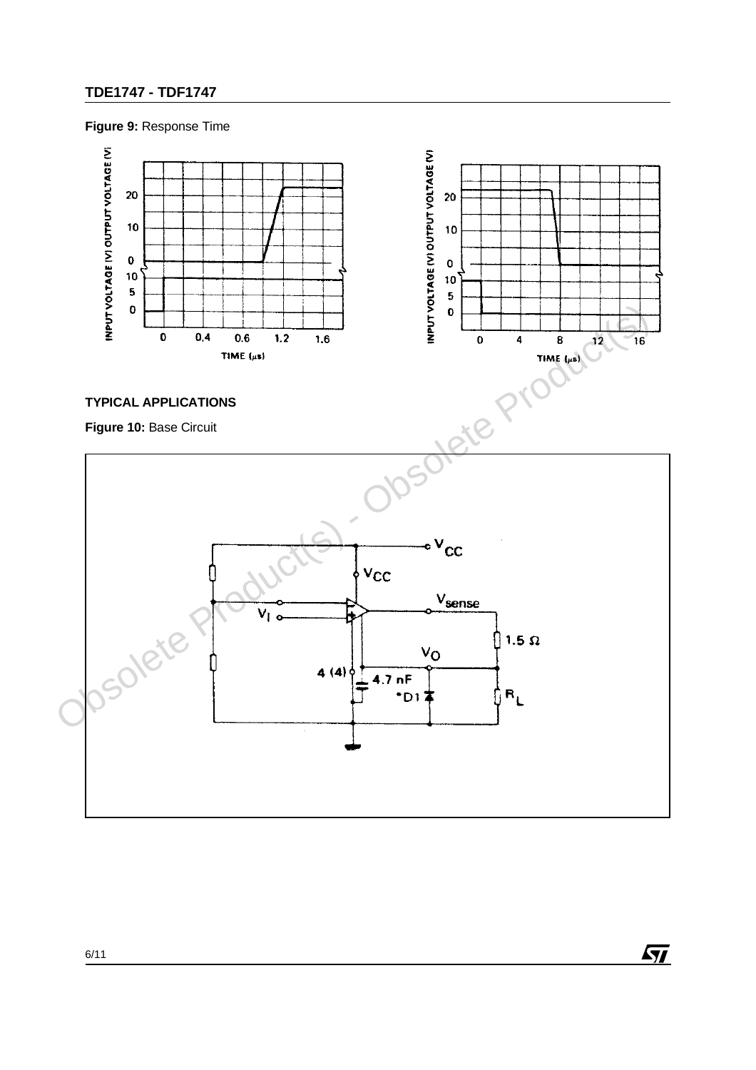**Figure 9:** Response Time



## **TYPICAL APPLICATIONS**

**Figure 10:** Base Circuit



 $\sqrt{M}$ 

6/11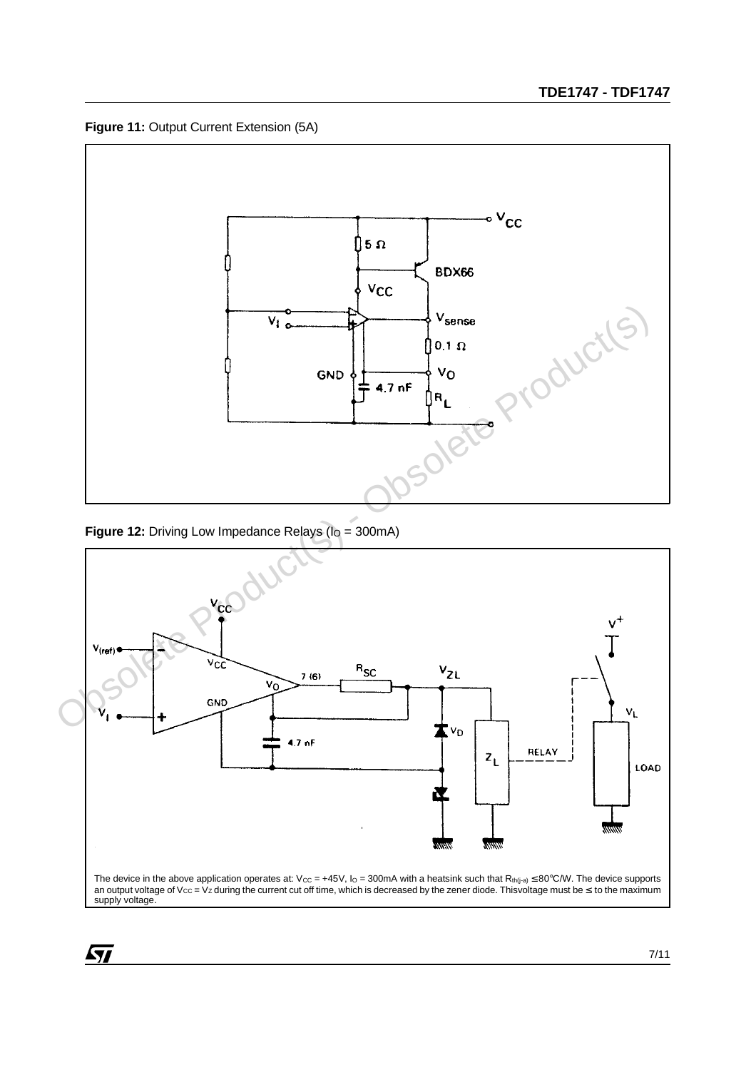**Figure 11:** Output Current Extension (5A)



**Figure 12:** Driving Low Impedance Relays (I<sub>O</sub> = 300mA)



 $\sqrt{27}$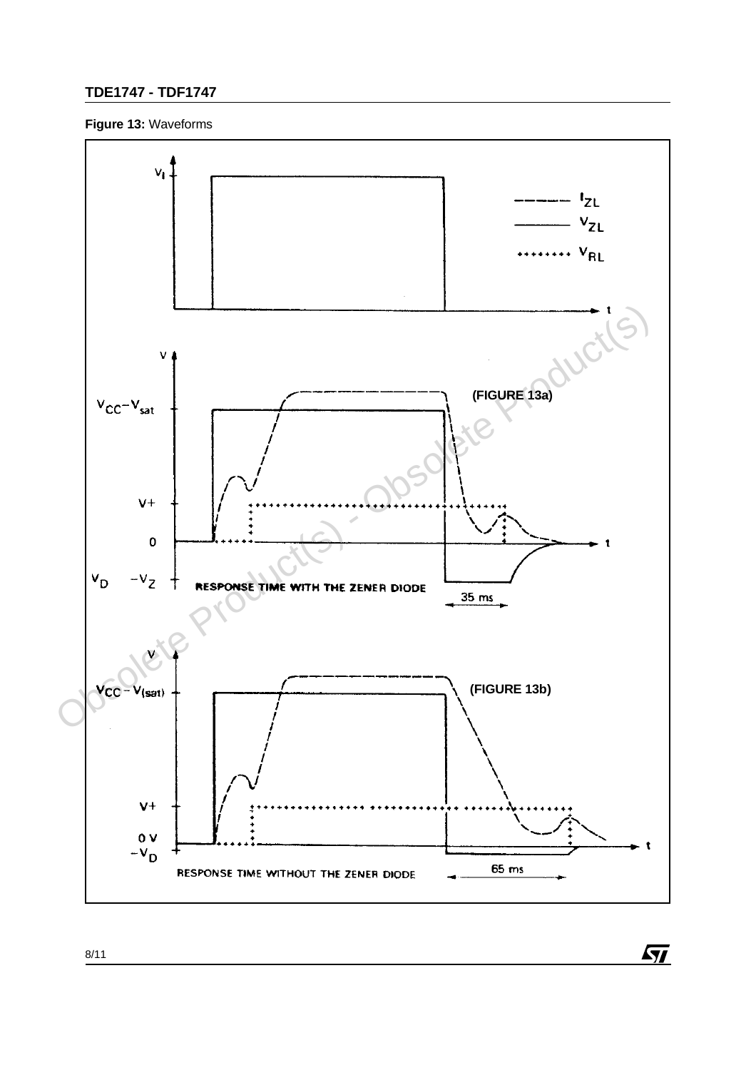### **Figure 13:** Waveforms



 $\sqrt{M}$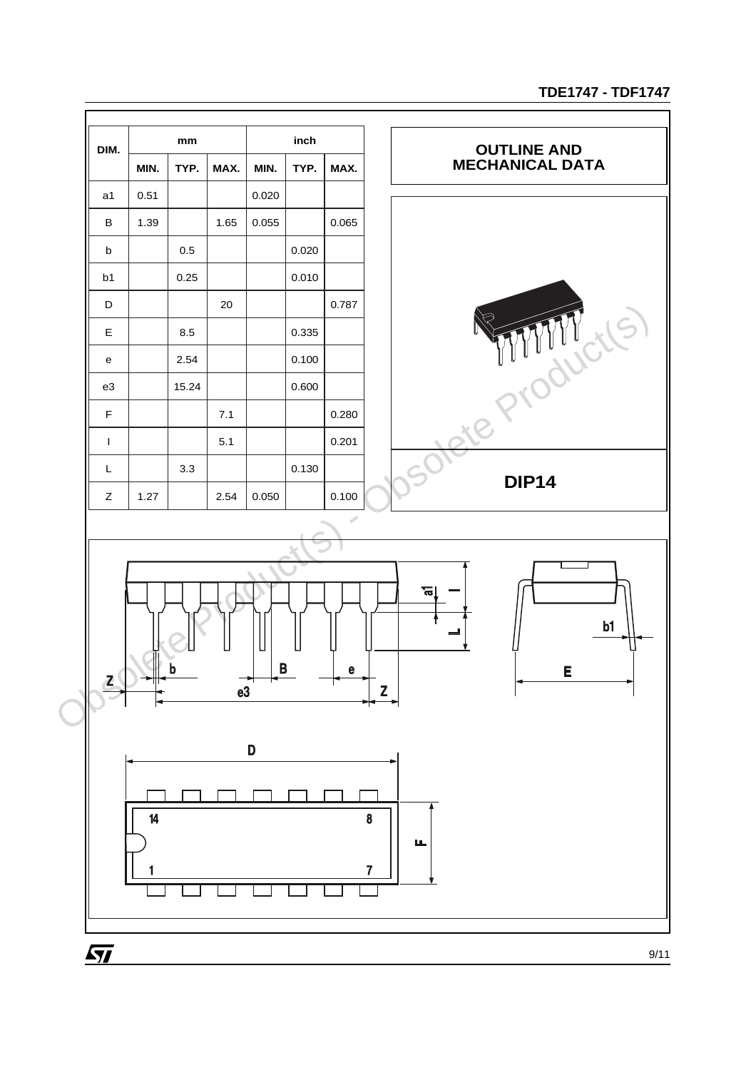

9/11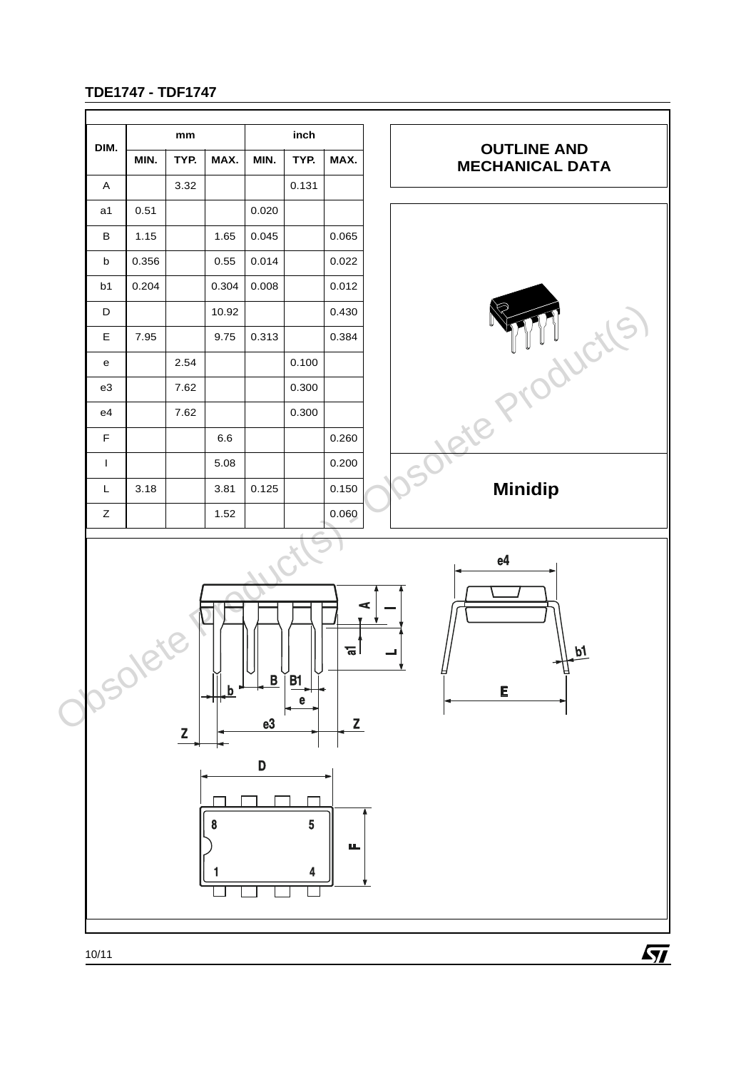

10/11